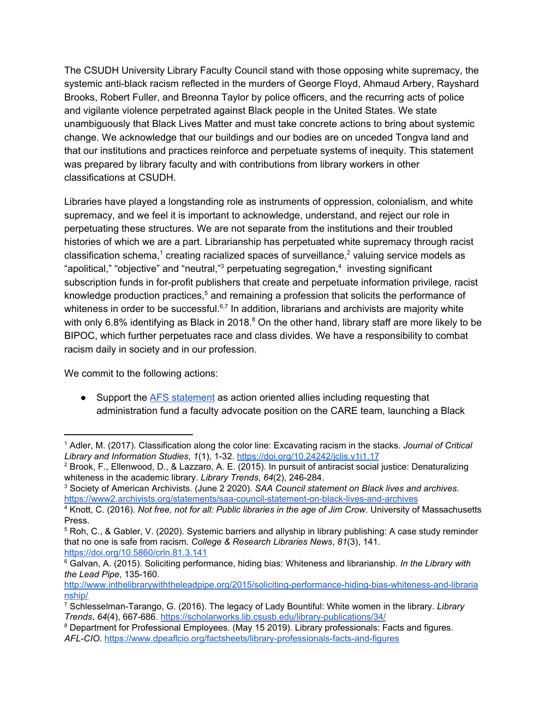The CSUDH University Library Faculty Council stand with those opposing white supremacy, the systemic anti-black racism reflected in the murders of George Floyd, Ahmaud Arbery, Rayshard Brooks, Robert Fuller, and Breonna Taylor by police officers, and the recurring acts of police and vigilante violence perpetrated against Black people in the United States. We state unambiguously that Black Lives Matter and must take concrete actions to bring about systemic change. We acknowledge that our buildings and our bodies are on unceded Tongva land and that our institutions and practices reinforce and perpetuate systems of inequity. This statement was prepared by library faculty and with contributions from library workers in other classifications at CSUDH.

Libraries have played a longstanding role as instruments of oppression, colonialism, and white supremacy, and we feel it is important to acknowledge, understand, and reject our role in perpetuating these structures. We are not separate from the institutions and their troubled histories of which we are a part. Librarianship has perpetuated white supremacy through racist classification schema,<sup>1</sup> creating racialized spaces of surveillance,<sup>2</sup> valuing service models as "apolitical," "objective" and "neutral," perpetuating segregation, $4$  investing significant subscription funds in for-profit publishers that create and perpetuate information privilege, racist knowledge production practices, $5$  and remaining a profession that solicits the performance of whiteness in order to be successful.<sup>6,7</sup> In addition, librarians and archivists are majority white with only 6.8% identifying as Black in 2018. $8$  On the other hand, library staff are more likely to be BIPOC, which further perpetuates race and class divides. We have a responsibility to combat racism daily in society and in our profession.

We commit to the following actions:

● Support the **AFS** [statement](https://docs.google.com/forms/d/e/1FAIpQLSey3eIdsWlaTmZdnTIny4AvT5aAMPXV1c9IAb5af3Uxhyd-OQ/viewform) as action oriented allies including requesting that administration fund a faculty advocate position on the CARE team, launching a Black

<sup>1</sup> Adler, M. (2017). Classification along the color line: Excavating racism in the stacks. *Journal of Critical Library and Information Studies*, *1*(1), 1-32. <https://doi.org/10.24242/jclis.v1i1.17>

<sup>2</sup> Brook, F., Ellenwood, D., & Lazzaro, A. E. (2015). In pursuit of antiracist social justice: Denaturalizing whiteness in the academic library. *Library Trends*, *64*(2), 246-284.

<sup>3</sup> Society of American Archivists. (June 2 2020). *SAA Council statement on Black lives and archives*. <https://www2.archivists.org/statements/saa-council-statement-on-black-lives-and-archives>

<sup>4</sup> Knott, C. (2016). *Not free, not for all: Public libraries in the age of Jim Crow*. University of Massachusetts Press.

<sup>5</sup> Roh, C., & Gabler, V. (2020). Systemic barriers and allyship in library publishing: A case study reminder that no one is safe from racism. *College & Research Libraries News*, *81*(3), 141. <https://doi.org/10.5860/crln.81.3.141>

<sup>6</sup> Galvan, A. (2015). Soliciting performance, hiding bias: Whiteness and librarianship. *In the Library with the Lead Pipe*, 135-160.

[http://www.inthelibrarywiththeleadpipe.org/2015/soliciting-performance-hiding-bias-whiteness-and-libraria](http://www.inthelibrarywiththeleadpipe.org/2015/soliciting-performance-hiding-bias-whiteness-and-librarianship/) [nship/](http://www.inthelibrarywiththeleadpipe.org/2015/soliciting-performance-hiding-bias-whiteness-and-librarianship/)

<sup>7</sup> Schlesselman-Tarango, G. (2016). The legacy of Lady Bountiful: White women in the library. *Library Trends*, *64*(4), 667-686. <https://scholarworks.lib.csusb.edu/library-publications/34/>

<sup>&</sup>lt;sup>8</sup> Department for Professional Employees. (May 15 2019). Library professionals: Facts and figures. *AFL-CIO.* <https://www.dpeaflcio.org/factsheets/library-professionals-facts-and-figures>